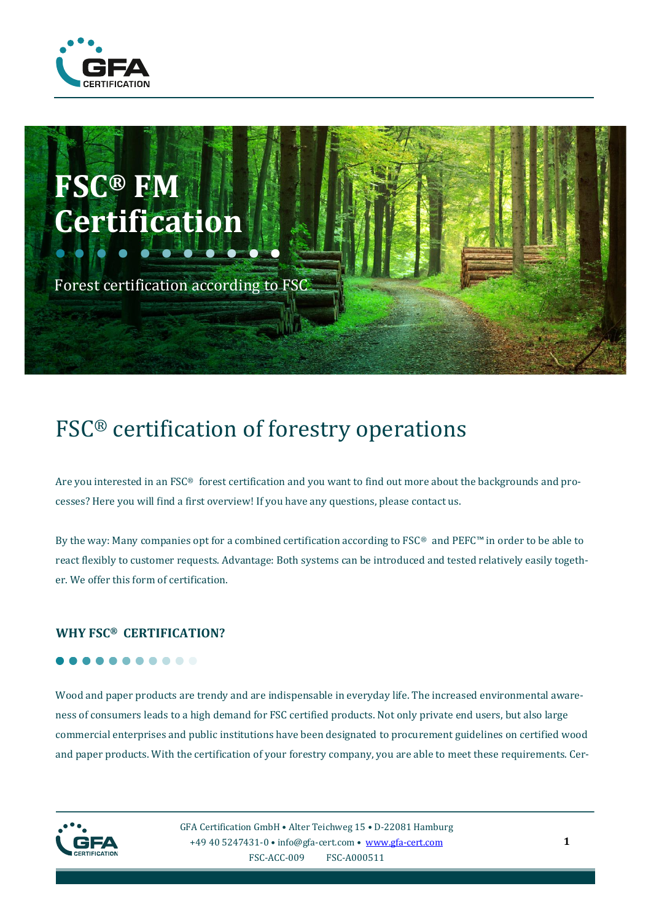



# FSC® certification of forestry operations

Are you interested in an FSC® forest certification and you want to find out more about the backgrounds and processes? Here you will find a first overview! If you have any questions, please contact us.

By the way: Many companies opt for a combined certification according to FSC® and PEFC™ in order to be able to react flexibly to customer requests. Advantage: Both systems can be introduced and tested relatively easily together. We offer this form of certification.

#### **WHY FSC® CERTIFICATION?**

## $0 0 0 0 0 0$

Wood and paper products are trendy and are indispensable in everyday life. The increased environmental awareness of consumers leads to a high demand for FSC certified products. Not only private end users, but also large commercial enterprises and public institutions have been designated to procurement guidelines on certified wood and paper products. With the certification of your forestry company, you are able to meet these requirements. Cer-



GFA Certification GmbH • Alter Teichweg 15 • D-22081 Hamburg +49 40 5247431-0 • info@gfa-cert.com • [www.gfa-cert.com](http://www.gfa-cert.com/) FSC-ACC-009 FSC-A000511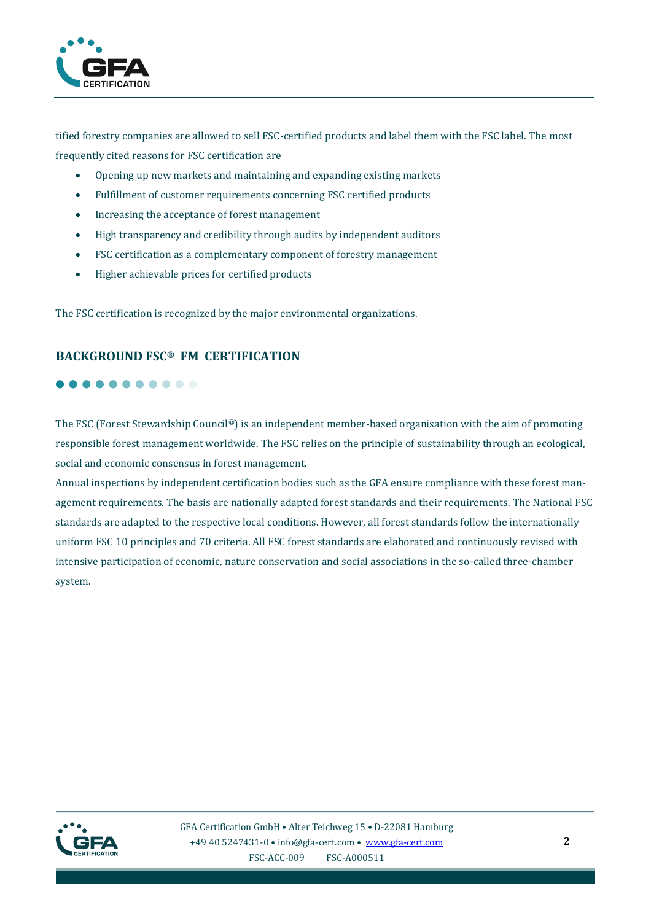

tified forestry companies are allowed to sell FSC-certified products and label them with the FSC label. The most frequently cited reasons for FSC certification are

- Opening up new markets and maintaining and expanding existing markets
- Fulfillment of customer requirements concerning FSC certified products
- Increasing the acceptance of forest management
- High transparency and credibility through audits by independent auditors
- FSC certification as a complementary component of forestry management
- Higher achievable prices for certified products

The FSC certification is recognized by the major environmental organizations.

## **BACKGROUND FSC® FM CERTIFICATION**

## . . . . . . . . . .

The FSC (Forest Stewardship Council®) is an independent member-based organisation with the aim of promoting responsible forest management worldwide. The FSC relies on the principle of sustainability through an ecological, social and economic consensus in forest management.

Annual inspections by independent certification bodies such as the GFA ensure compliance with these forest management requirements. The basis are nationally adapted forest standards and their requirements. The National FSC standards are adapted to the respective local conditions. However, all forest standards follow the internationally uniform FSC 10 principles and 70 criteria. All FSC forest standards are elaborated and continuously revised with intensive participation of economic, nature conservation and social associations in the so-called three-chamber system.

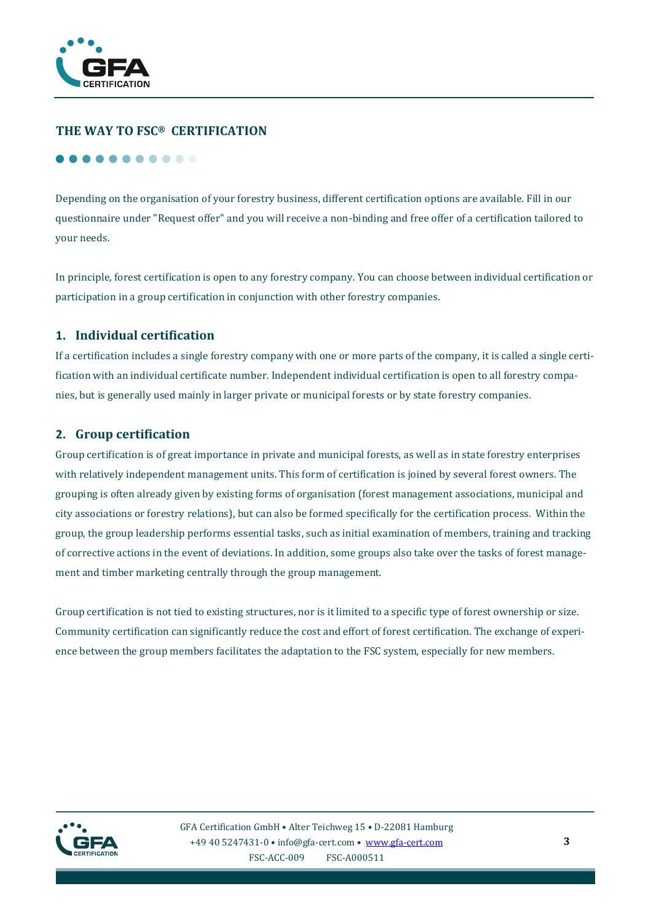

## **THE WAY TO FSC® CERTIFICATION**

#### **.....**

Depending on the organisation of your forestry business, different certification options are available. Fill in our questionnaire under "Request offer" and you will receive a non-binding and free offer of a certification tailored to your needs.

In principle, forest certification is open to any forestry company. You can choose between individual certification or participation in a group certification in conjunction with other forestry companies.

#### **1. Individual certification**

If a certification includes a single forestry company with one or more parts of the company, it is called a single certification with an individual certificate number. Independent individual certification is open to all forestry companies, but is generally used mainly in larger private or municipal forests or by state forestry companies.

#### **2. Group certification**

Group certification is of great importance in private and municipal forests, as well as in state forestry enterprises with relatively independent management units. This form of certification is joined by several forest owners. The grouping is often already given by existing forms of organisation (forest management associations, municipal and city associations or forestry relations), but can also be formed specifically for the certification process. Within the group, the group leadership performs essential tasks, such as initial examination of members, training and tracking of corrective actions in the event of deviations. In addition, some groups also take over the tasks of forest management and timber marketing centrally through the group management.

Group certification is not tied to existing structures, nor is it limited to a specific type of forest ownership or size. Community certification can significantly reduce the cost and effort of forest certification. The exchange of experience between the group members facilitates the adaptation to the FSC system, especially for new members.

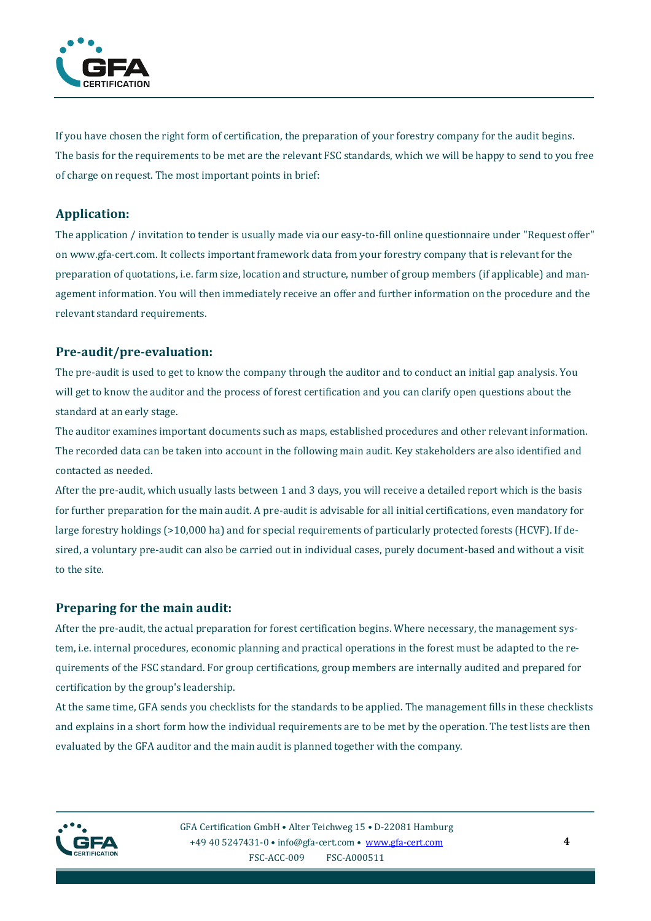

If you have chosen the right form of certification, the preparation of your forestry company for the audit begins. The basis for the requirements to be met are the relevant FSC standards, which we will be happy to send to you free of charge on request. The most important points in brief:

## **Application:**

The application / invitation to tender is usually made via our easy-to-fill online questionnaire under "Request offer" on www.gfa-cert.com. It collects important framework data from your forestry company that is relevant for the preparation of quotations, i.e. farm size, location and structure, number of group members (if applicable) and management information. You will then immediately receive an offer and further information on the procedure and the relevant standard requirements.

## **Pre-audit/pre-evaluation:**

The pre-audit is used to get to know the company through the auditor and to conduct an initial gap analysis. You will get to know the auditor and the process of forest certification and you can clarify open questions about the standard at an early stage.

The auditor examines important documents such as maps, established procedures and other relevant information. The recorded data can be taken into account in the following main audit. Key stakeholders are also identified and contacted as needed.

After the pre-audit, which usually lasts between 1 and 3 days, you will receive a detailed report which is the basis for further preparation for the main audit. A pre-audit is advisable for all initial certifications, even mandatory for large forestry holdings (>10,000 ha) and for special requirements of particularly protected forests (HCVF). If desired, a voluntary pre-audit can also be carried out in individual cases, purely document-based and without a visit to the site.

## **Preparing for the main audit:**

After the pre-audit, the actual preparation for forest certification begins. Where necessary, the management system, i.e. internal procedures, economic planning and practical operations in the forest must be adapted to the requirements of the FSC standard. For group certifications, group members are internally audited and prepared for certification by the group's leadership.

At the same time, GFA sends you checklists for the standards to be applied. The management fills in these checklists and explains in a short form how the individual requirements are to be met by the operation. The test lists are then evaluated by the GFA auditor and the main audit is planned together with the company.

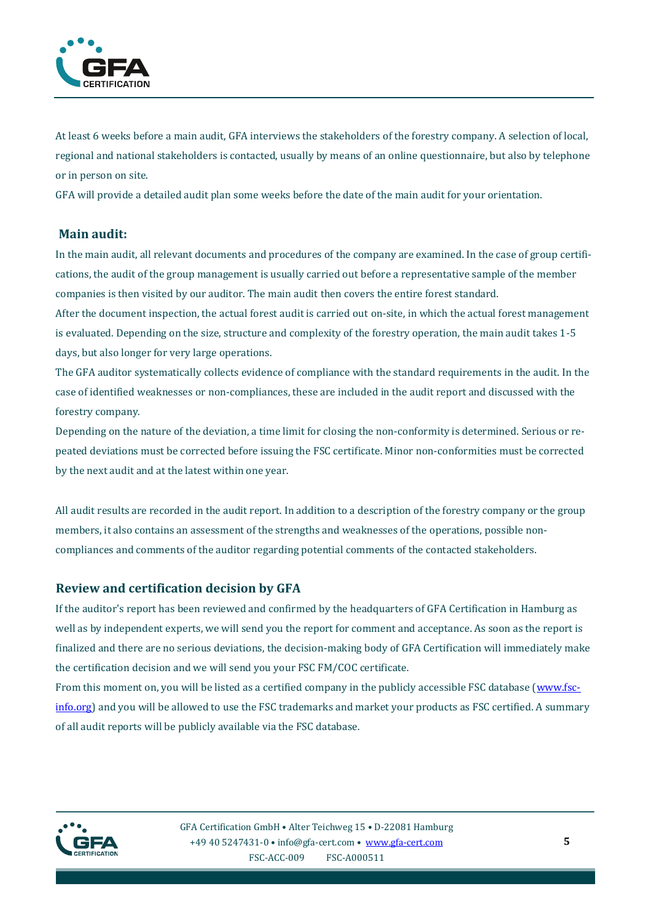

At least 6 weeks before a main audit, GFA interviews the stakeholders of the forestry company. A selection of local, regional and national stakeholders is contacted, usually by means of an online questionnaire, but also by telephone or in person on site.

GFA will provide a detailed audit plan some weeks before the date of the main audit for your orientation.

#### **Main audit:**

In the main audit, all relevant documents and procedures of the company are examined. In the case of group certifications, the audit of the group management is usually carried out before a representative sample of the member companies is then visited by our auditor. The main audit then covers the entire forest standard.

After the document inspection, the actual forest audit is carried out on-site, in which the actual forest management is evaluated. Depending on the size, structure and complexity of the forestry operation, the main audit takes 1-5 days, but also longer for very large operations.

The GFA auditor systematically collects evidence of compliance with the standard requirements in the audit. In the case of identified weaknesses or non-compliances, these are included in the audit report and discussed with the forestry company.

Depending on the nature of the deviation, a time limit for closing the non-conformity is determined. Serious or repeated deviations must be corrected before issuing the FSC certificate. Minor non-conformities must be corrected by the next audit and at the latest within one year.

All audit results are recorded in the audit report. In addition to a description of the forestry company or the group members, it also contains an assessment of the strengths and weaknesses of the operations, possible noncompliances and comments of the auditor regarding potential comments of the contacted stakeholders.

## **Review and certification decision by GFA**

If the auditor's report has been reviewed and confirmed by the headquarters of GFA Certification in Hamburg as well as by independent experts, we will send you the report for comment and acceptance. As soon as the report is finalized and there are no serious deviations, the decision-making body of GFA Certification will immediately make the certification decision and we will send you your FSC FM/COC certificate.

From this moment on, you will be listed as a certified company in the publicly accessible FSC database [\(www.fsc](http://www.fsc-info.org/)[info.org\)](http://www.fsc-info.org/) and you will be allowed to use the FSC trademarks and market your products as FSC certified. A summary of all audit reports will be publicly available via the FSC database.